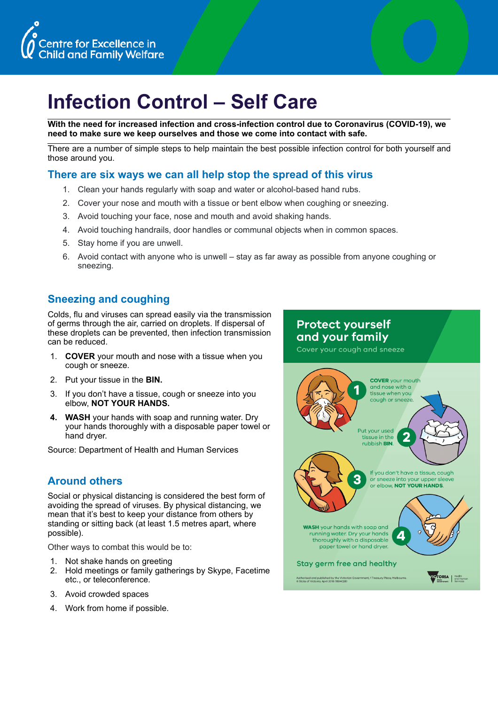



## **Infection Control – Self Care**

**With the need for increased infection and cross-infection control due to Coronavirus (COVID-19), we need to make sure we keep ourselves and those we come into contact with safe.** 

There are a number of simple steps to help maintain the best possible infection control for both yourself and those around you.

## **There are six ways we can all help stop the spread of this virus**

- 1. Clean your hands regularly with soap and water or alcohol-based hand rubs.
- 2. Cover your nose and mouth with a tissue or bent elbow when coughing or sneezing.
- 3. Avoid touching your face, nose and mouth and avoid shaking hands.
- 4. Avoid touching handrails, door handles or communal objects when in common spaces.
- 5. Stay home if you are unwell.
- 6. Avoid contact with anyone who is unwell stay as far away as possible from anyone coughing or sneezing.

## **Sneezing and coughing**

Colds, flu and viruses can spread easily via the transmission of germs through the air, carried on droplets. If dispersal of these droplets can be prevented, then infection transmission can be reduced.

- 1. **COVER** your mouth and nose with a tissue when you cough or sneeze.
- 2. Put your tissue in the **BIN.**
- 3. If you don't have a tissue, cough or sneeze into you elbow, **NOT YOUR HANDS.**
- **4. WASH** your hands with soap and running water. Dry your hands thoroughly with a disposable paper towel or hand dryer.

Source: Department of Health and Human Services

## **Around others**

Social or physical distancing is considered the best form of avoiding the spread of viruses. By physical distancing, we mean that it's best to keep your distance from others by standing or sitting back (at least 1.5 metres apart, where possible).

Other ways to combat this would be to:

- 1. Not shake hands on greeting
- 2. Hold meetings or family gatherings by Skype, Facetime etc., or teleconference.
- 3. Avoid crowded spaces
- 4. Work from home if possible.

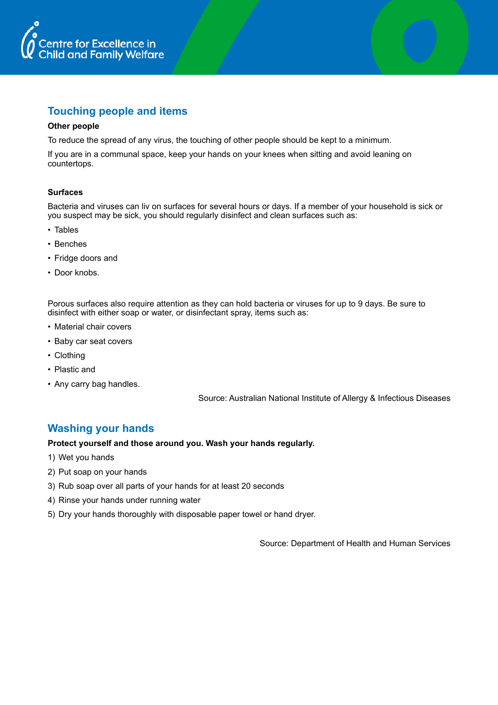

## **Touching people and items**

#### **Other people**

To reduce the spread of any virus, the touching of other people should be kept to a minimum.

If you are in a communal space, keep your hands on your knees when sitting and avoid leaning on countertops.

#### **Surfaces**

Bacteria and viruses can liv on surfaces for several hours or days. If a member of your household is sick or you suspect may be sick, you should regularly disinfect and clean surfaces such as:

- Tables
- Benches
- Fridge doors and
- Door knobs.

Porous surfaces also require attention as they can hold bacteria or viruses for up to 9 days. Be sure to disinfect with either soap or water, or disinfectant spray, items such as:

- Material chair covers
- Baby car seat covers
- Clothing
- Plastic and
- Any carry bag handles.

Source: Australian National Institute of Allergy & Infectious Diseases

## **Washing your hands**

#### **Protect yourself and those around you. Wash your hands regularly.**

- 1) Wet you hands
- 2) Put soap on your hands
- 3) Rub soap over all parts of your hands for at least 20 seconds
- 4) Rinse your hands under running water
- 5) Dry your hands thoroughly with disposable paper towel or hand dryer.

Source: Department of Health and Human Services